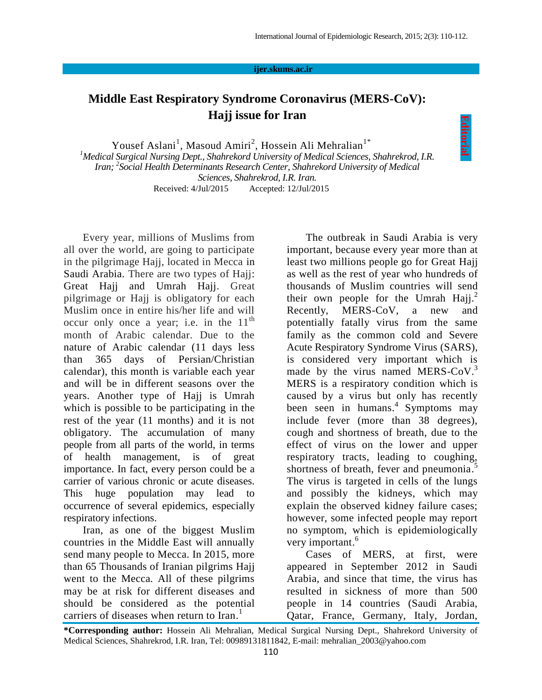**Editorial**

## **ijer.skums.ac.ir**

## **Middle East Respiratory Syndrome Coronavirus (MERS-CoV): Hajj issue for Iran**

Yousef Aslani<sup>1</sup>, Masoud Amiri<sup>2</sup>, Hossein Ali Mehralian<sup>1\*</sup> *<sup>1</sup>Medical Surgical Nursing Dept., Shahrekord University of Medical Sciences, Shahrekrod, I.R. Iran; <sup>2</sup> Social Health Determinants Research Center, Shahrekord University of Medical Sciences, Shahrekrod, I.R. Iran.* Received: 4/Jul/2015 Accepted: 12/Jul/2015

Every year, millions of Muslims from all over the world, are going to participate in the pilgrimage Hajj, located in Mecca in Saudi Arabia. There are two types of Hajj: Great Hajj and Umrah Hajj. Great pilgrimage or Hajj is obligatory for each Muslim once in entire his/her life and will occur only once a year; i.e. in the  $11<sup>th</sup>$ month of Arabic calendar. Due to the nature of Arabic calendar (11 days less than 365 days of Persian/Christian calendar), this month is variable each year and will be in different seasons over the years. Another type of Hajj is Umrah which is possible to be participating in the rest of the year (11 months) and it is not obligatory. The accumulation of many people from all parts of the world, in terms of health management, is of great importance. In fact, every person could be a carrier of various chronic or acute diseases. This huge population may lead to occurrence of several epidemics, especially respiratory infections.

Iran, as one of the biggest Muslim countries in the Middle East will annually send many people to Mecca. In 2015, more than 65 Thousands of Iranian pilgrims Hajj went to the Mecca. All of these pilgrims may be at risk for different diseases and should be considered as the potential carriers of diseases when return to Iran.<sup>1</sup>

The outbreak in Saudi Arabia is very important, because every year more than at least two millions people go for Great Hajj as well as the rest of year who hundreds of thousands of Muslim countries will send their own people for the Umrah Hajj.<sup>2</sup> Recently, MERS-CoV, a new and potentially fatally virus from the same family as the common cold and Severe Acute Respiratory Syndrome Virus (SARS), is considered very important which is made by the virus named MERS-CoV.<sup>3</sup> [MERS is a respiratory condition](http://www.livescience.com/34516-deadly-middle-east-coronavirus-has-a-new-name-mers.html) which is caused by a virus but only has recently been seen in humans. 4 Symptoms may include fever (more than 38 degrees), cough and shortness of breath, due to the effect of virus on the lower and upper respiratory tracts, leading to coughing, shortness of breath, fever and pneumonia.<sup>5</sup> The virus is targeted in cells of the lungs and possibly the [kidneys,](http://www.virologyj.com/content/10/1/359/abstract) which may explain the observed kidney failure cases; however, some infected people may report no symptom, which is epidemiologically very important. 6

Cases of MERS, at first, were appeared in September 2012 in Saudi Arabia, and since that time, the virus has resulted in sickness of more than 500 people in 14 countries (Saudi Arabia, Qatar, France, Germany, Italy, Jordan,

**<sup>\*</sup>Corresponding author:** Hossein Ali Mehralian, Medical Surgical Nursing Dept., Shahrekord University of Medical Sciences, Shahrekrod, I.R. Iran, Tel: 00989131811842, E-mail: mehralian\_2003@yahoo.com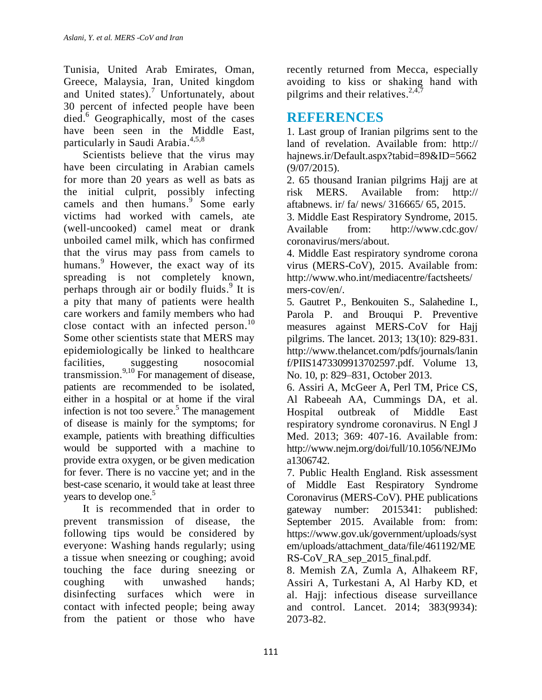Tunisia, United Arab Emirates, Oman, Greece, Malaysia, Iran, United kingdom and United states). <sup>7</sup> Unfortunately, about 30 percent of infected people have been died. <sup>6</sup> Geographically, most of the cases have been seen in the Middle East, particularly in Saudi Arabia. 4,5,8

Scientists believe that the virus may have been circulating in Arabian camels for [more than 20 years](http://www.npr.org/blogs/health/2014/02/25/282136478/deadly-mers-virus-circulates-among-arabian-camels) as well as [bats](http://wwwnc.cdc.gov/eid/article/19/11/13-1172_article.htm) as the initial culprit, possibly infecting camels and then humans.<sup>9</sup> Some early victims had worked with [camels,](http://www.cidrap.umn.edu/news-perspective/2014/03/who-says-first-patient-mers-cluster-had-camel-contact) ate (well-uncooked) camel meat or [drank](http://www.who.int/csr/don/2014_04_17_mers/en/)  unboiled [camel milk,](http://www.who.int/csr/don/2014_04_17_mers/en/) which has confirmed that the virus may pass from camels to humans. <sup>9</sup> However, the exact way of its spreading is not completely known, perhaps through air or bodily fluids.<sup>9</sup> It is a pity that many of patients were health care workers and family members who had close contact with an infected person.<sup>10</sup> Some other scientists state that MERS may epidemiologically be linked to healthcare facilities, suggesting nosocomial transmission. 9,10 For management of disease, patients are recommended to be isolated, either in a hospital or at home if the viral infection is not too severe. 5 The management of disease is mainly for the symptoms; for example, patients with breathing difficulties would be supported with a machine to provide extra oxygen, or be given medication for fever. There is no vaccine yet; and in the best-case scenario, it would take at least three years to develop one. 5

It is recommended that in order to prevent transmission of disease, the following tips would be considered by everyone: Washing hands regularly; using a tissue when sneezing or coughing; avoid touching the face during sneezing or coughing with unwashed hands; disinfecting surfaces which were in contact with infected people; being away from the patient or those who have

recently returned from Mecca, especially avoiding to kiss or shaking hand with pilgrims and their relatives.<sup>2,4,7</sup>

## **REFERENCES**

1. Last group of Iranian pilgrims sent to the land of revelation. Available from: http:// hajnews.ir/Default.aspx?tabid=89&ID=5662 (9/07/2015).

2. 65 thousand Iranian pilgrims Hajj are at risk MERS. Available from: http:// aftabnews. ir/ fa/ news/ 316665/ 65, 2015.

3. Middle East Respiratory Syndrome, 2015. Available from: http://www.cdc.gov/ coronavirus/mers/about.

4. Middle East respiratory syndrome corona virus (MERS-CoV), 2015. Available from: http://www.who.int/mediacentre/factsheets/ mers-cov/en/.

5. Gautret P., Benkouiten S., Salahedine I., Parola P. and Brouqui P. Preventive measures against MERS-CoV for Hajj pilgrims. The lancet. 2013; 13(10): 829-831. http://www.thelancet.com/pdfs/journals/lanin f/PIIS1473309913702597.pdf. Volume 13, No. 10, p: 829–831, October 2013.

6. Assiri A, McGeer A, Perl TM, Price CS, Al Rabeeah AA, Cummings DA, et al. Hospital outbreak of Middle East respiratory syndrome coronavirus. N Engl J Med. 2013; 369: 407-16. Available from: http://www.nejm.org/doi/full/10.1056/NEJMo a1306742.

7. Public Health England. Risk assessment of Middle East Respiratory Syndrome Coronavirus (MERS-CoV). PHE publications gateway number: 2015341: published: September 2015. Available from: from: https://www.gov.uk/government/uploads/syst em/uploads/attachment\_data/file/461192/ME RS-CoV\_RA\_sep\_2015\_final.pdf.

8. Memish ZA, Zumla A, Alhakeem RF, Assiri A, Turkestani A, Al Harby KD, et al. Hajj: infectious disease surveillance and control. Lancet. 2014; 383(9934): 2073-82.